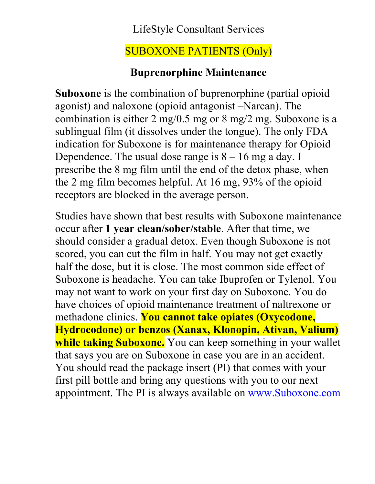### LifeStyle Consultant Services

## SUBOXONE PATIENTS (Only)

#### **Buprenorphine Maintenance**

**Suboxone** is the combination of buprenorphine (partial opioid agonist) and naloxone (opioid antagonist –Narcan). The combination is either 2 mg/0.5 mg or 8 mg/2 mg. Suboxone is a sublingual film (it dissolves under the tongue). The only FDA indication for Suboxone is for maintenance therapy for Opioid Dependence. The usual dose range is  $8 - 16$  mg a day. I prescribe the 8 mg film until the end of the detox phase, when the 2 mg film becomes helpful. At 16 mg, 93% of the opioid receptors are blocked in the average person.

Studies have shown that best results with Suboxone maintenance occur after **1 year clean/sober/stable**. After that time, we should consider a gradual detox. Even though Suboxone is not scored, you can cut the film in half. You may not get exactly half the dose, but it is close. The most common side effect of Suboxone is headache. You can take Ibuprofen or Tylenol. You may not want to work on your first day on Suboxone. You do have choices of opioid maintenance treatment of naltrexone or methadone clinics. **You cannot take opiates (Oxycodone, Hydrocodone) or benzos (Xanax, Klonopin, Ativan, Valium) while taking Suboxone.** You can keep something in your wallet that says you are on Suboxone in case you are in an accident. You should read the package insert (PI) that comes with your first pill bottle and bring any questions with you to our next appointment. The PI is always available on www.Suboxone.com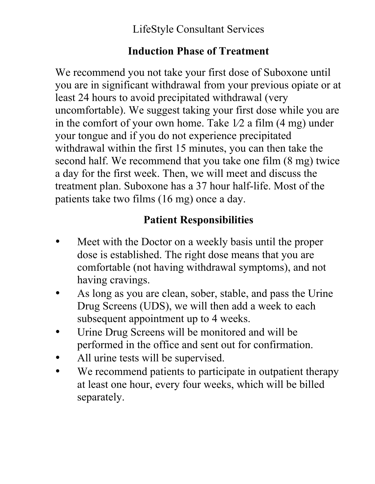LifeStyle Consultant Services

### **Induction Phase of Treatment**

We recommend you not take your first dose of Suboxone until you are in significant withdrawal from your previous opiate or at least 24 hours to avoid precipitated withdrawal (very uncomfortable). We suggest taking your first dose while you are in the comfort of your own home. Take  $1/2$  a film  $(4 \text{ mg})$  under your tongue and if you do not experience precipitated withdrawal within the first 15 minutes, you can then take the second half. We recommend that you take one film (8 mg) twice a day for the first week. Then, we will meet and discuss the treatment plan. Suboxone has a 37 hour half-life. Most of the patients take two films (16 mg) once a day.

## **Patient Responsibilities**

- Meet with the Doctor on a weekly basis until the proper dose is established. The right dose means that you are comfortable (not having withdrawal symptoms), and not having cravings.
- As long as you are clean, sober, stable, and pass the Urine Drug Screens (UDS), we will then add a week to each subsequent appointment up to 4 weeks.
- Urine Drug Screens will be monitored and will be performed in the office and sent out for confirmation.
- All urine tests will be supervised.
- We recommend patients to participate in outpatient therapy at least one hour, every four weeks, which will be billed separately.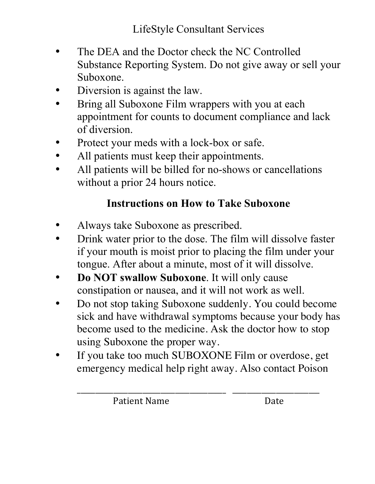- The DEA and the Doctor check the NC Controlled Substance Reporting System. Do not give away or sell your Suboxone.
- Diversion is against the law.
- Bring all Suboxone Film wrappers with you at each appointment for counts to document compliance and lack of diversion.
- Protect your meds with a lock-box or safe.
- All patients must keep their appointments.
- All patients will be billed for no-shows or cancellations without a prior 24 hours notice.

### **Instructions on How to Take Suboxone**

- Always take Suboxone as prescribed.
- Drink water prior to the dose. The film will dissolve faster if your mouth is moist prior to placing the film under your tongue. After about a minute, most of it will dissolve.
- **Do NOT swallow Suboxone**. It will only cause constipation or nausea, and it will not work as well.
- Do not stop taking Suboxone suddenly. You could become sick and have withdrawal symptoms because your body has become used to the medicine. Ask the doctor how to stop using Suboxone the proper way.
- If you take too much SUBOXONE Film or overdose, get emergency medical help right away. Also contact Poison

\_\_\_\_\_\_\_\_\_\_\_\_\_\_\_\_\_\_\_\_\_\_\_\_\_\_\_\_\_\_\_\_\_\_\_\_\_\_\_\_\_ \_\_\_\_\_\_\_\_\_\_\_\_\_\_\_\_\_\_\_\_\_\_\_\_

Patient Name Date